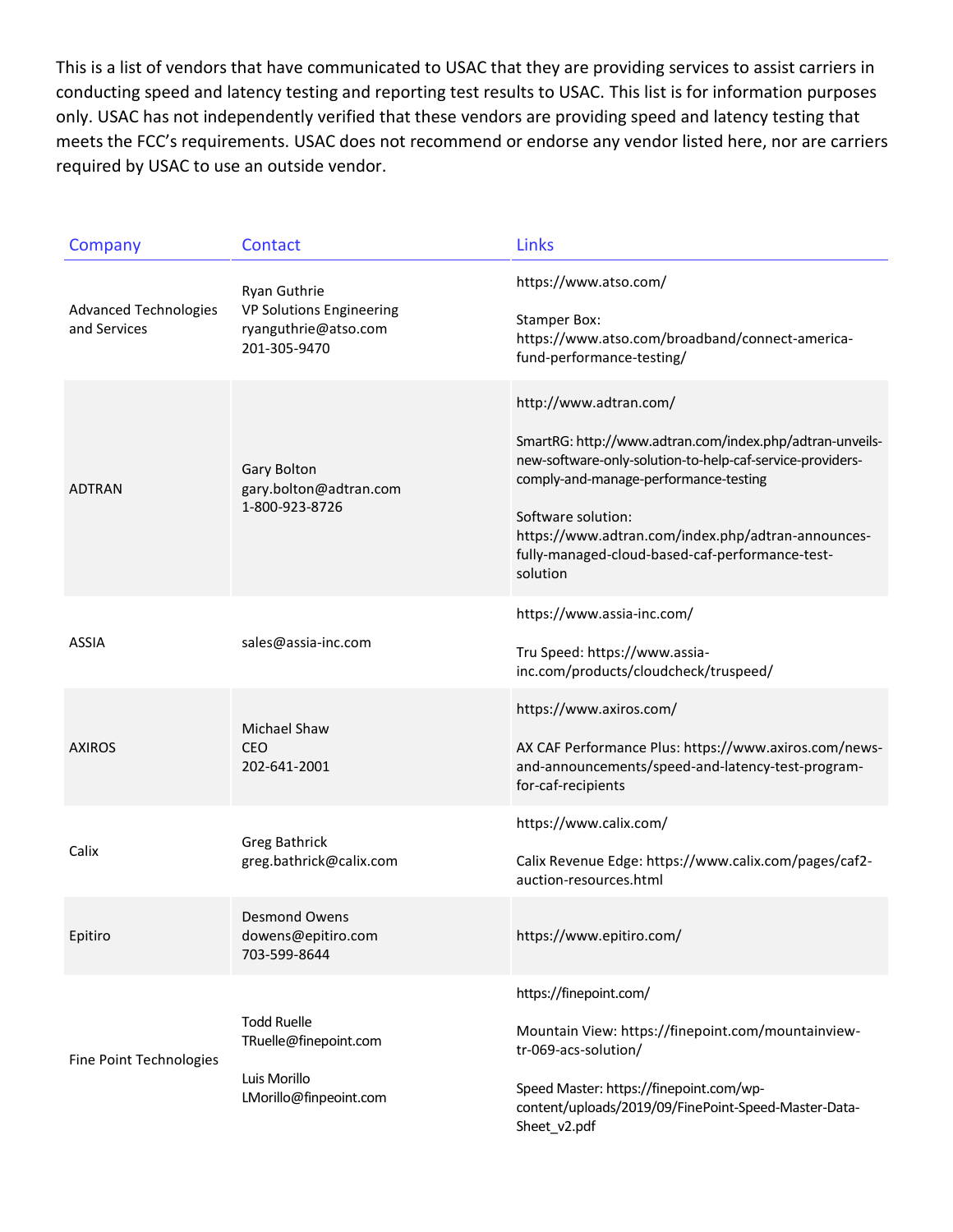This is a list of vendors that have communicated to USAC that they are providing services to assist carriers in conducting speed and latency testing and reporting test results to USAC. This list is for information purposes only. USAC has not independently verified that these vendors are providing speed and latency testing that meets the FCC's requirements. USAC does not recommend or endorse any vendor listed here, nor are carriers required by USAC to use an outside vendor.

| Company                                      | Contact                                                                               | Links                                                                                                                                                                                                                                                                                                                               |
|----------------------------------------------|---------------------------------------------------------------------------------------|-------------------------------------------------------------------------------------------------------------------------------------------------------------------------------------------------------------------------------------------------------------------------------------------------------------------------------------|
| <b>Advanced Technologies</b><br>and Services | Ryan Guthrie<br>VP Solutions Engineering<br>ryanguthrie@atso.com<br>201-305-9470      | https://www.atso.com/<br><b>Stamper Box:</b><br>https://www.atso.com/broadband/connect-america-<br>fund-performance-testing/                                                                                                                                                                                                        |
| <b>ADTRAN</b>                                | Gary Bolton<br>gary.bolton@adtran.com<br>1-800-923-8726                               | http://www.adtran.com/<br>SmartRG: http://www.adtran.com/index.php/adtran-unveils-<br>new-software-only-solution-to-help-caf-service-providers-<br>comply-and-manage-performance-testing<br>Software solution:<br>https://www.adtran.com/index.php/adtran-announces-<br>fully-managed-cloud-based-caf-performance-test-<br>solution |
| <b>ASSIA</b>                                 | sales@assia-inc.com                                                                   | https://www.assia-inc.com/<br>Tru Speed: https://www.assia-<br>inc.com/products/cloudcheck/truspeed/                                                                                                                                                                                                                                |
| <b>AXIROS</b>                                | Michael Shaw<br>CEO<br>202-641-2001                                                   | https://www.axiros.com/<br>AX CAF Performance Plus: https://www.axiros.com/news-<br>and-announcements/speed-and-latency-test-program-<br>for-caf-recipients                                                                                                                                                                         |
| Calix                                        | <b>Greg Bathrick</b><br>greg.bathrick@calix.com                                       | https://www.calix.com/<br>Calix Revenue Edge: https://www.calix.com/pages/caf2-<br>auction-resources.html                                                                                                                                                                                                                           |
| Epitiro                                      | Desmond Owens<br>dowens@epitiro.com<br>703-599-8644                                   | https://www.epitiro.com/                                                                                                                                                                                                                                                                                                            |
| Fine Point Technologies                      | <b>Todd Ruelle</b><br>TRuelle@finepoint.com<br>Luis Morillo<br>LMorillo@finpeoint.com | https://finepoint.com/<br>Mountain View: https://finepoint.com/mountainview-<br>tr-069-acs-solution/<br>Speed Master: https://finepoint.com/wp-<br>content/uploads/2019/09/FinePoint-Speed-Master-Data-<br>Sheet_v2.pdf                                                                                                             |